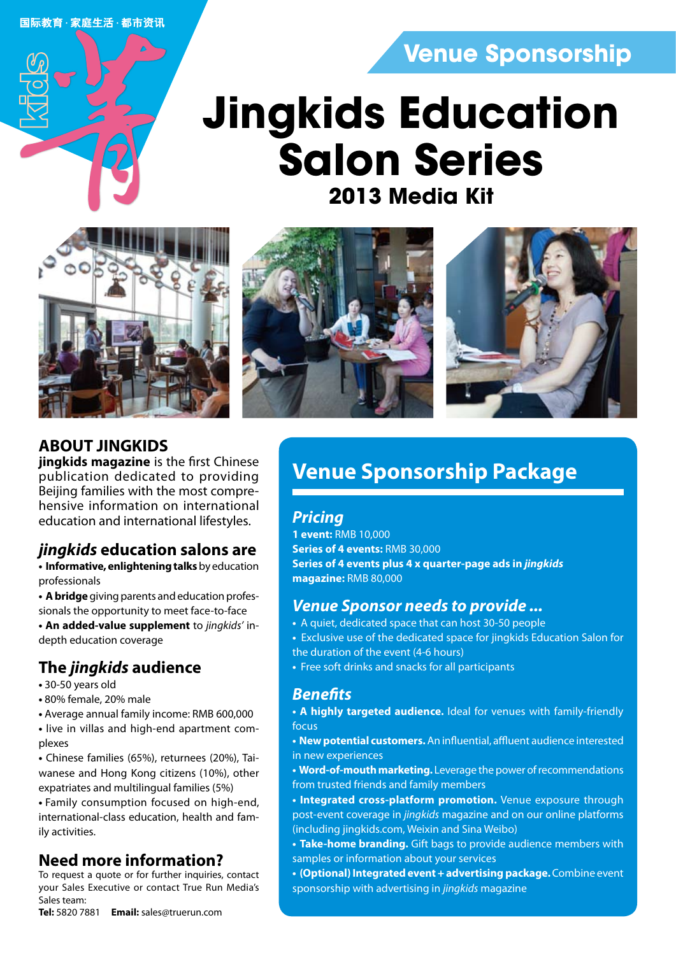国际教育·家庭生活·都市资讯

## **Venue Sponsorship**

# **2013 Media Kit Jingkids Education Salon Series**







### **ABOUT JINGKIDS**

**jingkids magazine** is the first Chinese publication dedicated to providing Beijing families with the most comprehensive information on international education and international lifestyles.

### *jingkids* **education salons are**

**• Informative, enlightening talks** by education professionals

**• A bridge** giving parents and education professionals the opportunity to meet face-to-face

**• An added-value supplement** to *jingkids'* indepth education coverage

### **The** *jingkids* **audience**

- 30-50 years old
- 80% female, 20% male
- Average annual family income: RMB 600,000
- live in villas and high-end apartment complexes

**•** Chinese families (65%), returnees (20%), Taiwanese and Hong Kong citizens (10%), other expatriates and multilingual families (5%)

**•** Family consumption focused on high-end, international-class education, health and family activities.

### **Need more information?**

To request a quote or for further inquiries, contact your Sales Executive or contact True Run Media's Sales team:

**Tel:** 5820 7881 **Email:** sales@truerun.com

## **Venue Sponsorship Package**

### *Pricing*

**1 event:** RMB 10,000 **Series of 4 events:** RMB 30,000 **Series of 4 events plus 4 x quarter-page ads in** *jingkids* **magazine:** RMB 80,000

### *Venue Sponsor needs to provide ...*

- A quiet, dedicated space that can host 30-50 people
- Exclusive use of the dedicated space for jingkids Education Salon for the duration of the event (4-6 hours)
- Free soft drinks and snacks for all participants

### *Benefits*

- **A highly targeted audience.** Ideal for venues with family-friendly focus
- **New potential customers.** An influential, affluent audience interested in new experiences
- **Word-of-mouth marketing.** Leverage the power of recommendations from trusted friends and family members
- **Integrated cross-platform promotion.** Venue exposure through post-event coverage in *jingkids* magazine and on our online platforms (including jingkids.com, Weixin and Sina Weibo)
- **Take-home branding.** Gift bags to provide audience members with samples or information about your services
- **(Optional) Integrated event + advertising package.** Combine event sponsorship with advertising in *jingkids* magazine